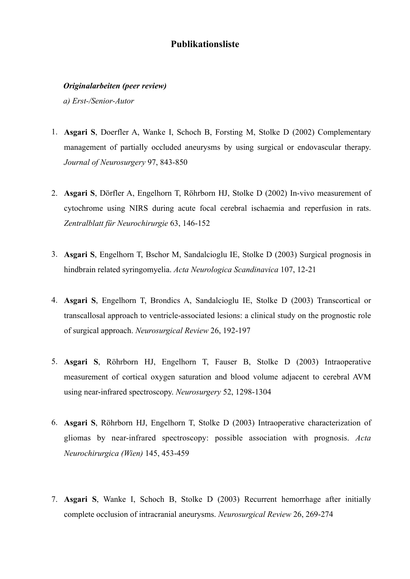# **Publikationsliste**

## *Originalarbeiten (peer review)*

*a) Erst-/Senior-Autor*

- 1. **Asgari S**, Doerfler A, Wanke I, Schoch B, Forsting M, Stolke D (2002) Complementary management of partially occluded aneurysms by using surgical or endovascular therapy. *Journal of Neurosurgery* 97, 843-850
- 2. **Asgari S**, Dörfler A, Engelhorn T, Röhrborn HJ, Stolke D (2002) In-vivo measurement of cytochrome using NIRS during acute focal cerebral ischaemia and reperfusion in rats. *Zentralblatt für Neurochirurgie* 63, 146-152
- 3. **Asgari S**, Engelhorn T, Bschor M, Sandalcioglu IE, Stolke D (2003) Surgical prognosis in hindbrain related syringomyelia. *Acta Neurologica Scandinavica* 107, 12-21
- 4. **Asgari S**, Engelhorn T, Brondics A, Sandalcioglu IE, Stolke D (2003) Transcortical or transcallosal approach to ventricle-associated lesions: a clinical study on the prognostic role of surgical approach. *Neurosurgical Review* 26, 192-197
- 5. **Asgari S**, Röhrborn HJ, Engelhorn T, Fauser B, Stolke D (2003) Intraoperative measurement of cortical oxygen saturation and blood volume adjacent to cerebral AVM using near-infrared spectroscopy. *Neurosurgery* 52, 1298-1304
- 6. **Asgari S**, Röhrborn HJ, Engelhorn T, Stolke D (2003) Intraoperative characterization of gliomas by near-infrared spectroscopy: possible association with prognosis. *Acta Neurochirurgica (Wien)* 145, 453-459
- 7. **Asgari S**, Wanke I, Schoch B, Stolke D (2003) Recurrent hemorrhage after initially complete occlusion of intracranial aneurysms. *Neurosurgical Review* 26, 269-274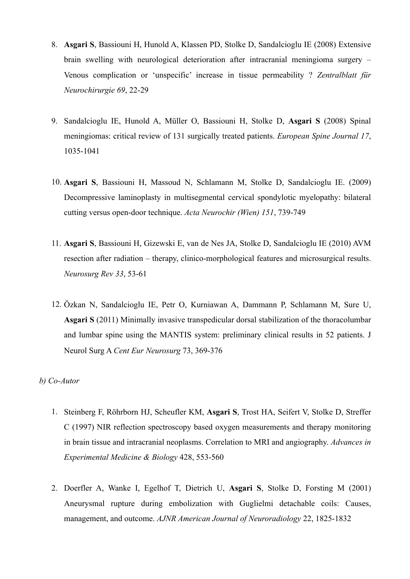- 8. **Asgari S**, Bassiouni H, Hunold A, Klassen PD, Stolke D, Sandalcioglu IE (2008) Extensive brain swelling with neurological deterioration after intracranial meningioma surgery – Venous complication or 'unspecific' increase in tissue permeability ? *Zentralblatt für Neurochirurgie 69*, 22-29
- 9. Sandalcioglu IE, Hunold A, Müller O, Bassiouni H, Stolke D, **Asgari S** (2008) Spinal meningiomas: critical review of 131 surgically treated patients. *European Spine Journal 17*, 1035-1041
- 10. **Asgari S**, Bassiouni H, Massoud N, Schlamann M, Stolke D, Sandalcioglu IE. (2009) Decompressive laminoplasty in multisegmental cervical spondylotic myelopathy: bilateral cutting versus open-door technique. *Acta Neurochir (Wien) 151*, 739-749
- 11. **Asgari S**, Bassiouni H, Gizewski E, van de Nes JA, Stolke D, Sandalcioglu IE (2010) AVM resection after radiation – therapy, clinico-morphological features and microsurgical results. *Neurosurg Rev 33*, 53-61
- 12. Özkan N, Sandalcioglu IE, Petr O, Kurniawan A, Dammann P, Schlamann M, Sure U, **Asgari S** (2011) Minimally invasive transpedicular dorsal stabilization of the thoracolumbar and lumbar spine using the MANTIS system: preliminary clinical results in 52 patients. J Neurol Surg A *Cent Eur Neurosurg* 73, 369-376

# *b) Co-Autor*

- 1. Steinberg F, Röhrborn HJ, Scheufler KM, **Asgari S**, Trost HA, Seifert V, Stolke D, Streffer C (1997) NIR reflection spectroscopy based oxygen measurements and therapy monitoring in brain tissue and intracranial neoplasms. Correlation to MRI and angiography. *Advances in Experimental Medicine & Biology* 428, 553-560
- 2. Doerfler A, Wanke I, Egelhof T, Dietrich U, **Asgari S**, Stolke D, Forsting M (2001) Aneurysmal rupture during embolization with Guglielmi detachable coils: Causes, management, and outcome. *AJNR American Journal of Neuroradiology* 22, 1825-1832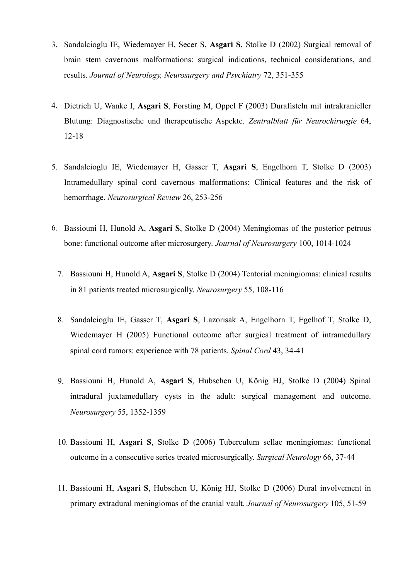- 3. Sandalcioglu IE, Wiedemayer H, Secer S, **Asgari S**, Stolke D (2002) Surgical removal of brain stem cavernous malformations: surgical indications, technical considerations, and results. *Journal of Neurology, Neurosurgery and Psychiatry* 72, 351-355
- 4. Dietrich U, Wanke I, **Asgari S**, Forsting M, Oppel F (2003) Durafisteln mit intrakranieller Blutung: Diagnostische und therapeutische Aspekte. *Zentralblatt für Neurochirurgie* 64, 12-18
- 5. Sandalcioglu IE, Wiedemayer H, Gasser T, **Asgari S**, Engelhorn T, Stolke D (2003) Intramedullary spinal cord cavernous malformations: Clinical features and the risk of hemorrhage. *Neurosurgical Review* 26, 253-256
- 6. Bassiouni H, Hunold A, **Asgari S**, Stolke D (2004) Meningiomas of the posterior petrous bone: functional outcome after microsurgery. *Journal of Neurosurgery* 100, 1014-1024
	- 7. Bassiouni H, Hunold A, **Asgari S**, Stolke D (2004) Tentorial meningiomas: clinical results in 81 patients treated microsurgically. *Neurosurgery* 55, 108-116
	- 8. Sandalcioglu IE, Gasser T, **Asgari S**, Lazorisak A, Engelhorn T, Egelhof T, Stolke D, Wiedemayer H (2005) Functional outcome after surgical treatment of intramedullary spinal cord tumors: experience with 78 patients. *Spinal Cord* 43, 34-41
	- 9. Bassiouni H, Hunold A, **Asgari S**, Hubschen U, König HJ, Stolke D (2004) Spinal intradural juxtamedullary cysts in the adult: surgical management and outcome. *Neurosurgery* 55, 1352-1359
	- 10. Bassiouni H, **Asgari S**, Stolke D (2006) Tuberculum sellae meningiomas: functional outcome in a consecutive series treated microsurgically. *Surgical Neurology* 66, 37-44
	- 11. Bassiouni H, **Asgari S**, Hubschen U, König HJ, Stolke D (2006) Dural involvement in primary extradural meningiomas of the cranial vault. *Journal of Neurosurgery* 105, 51-59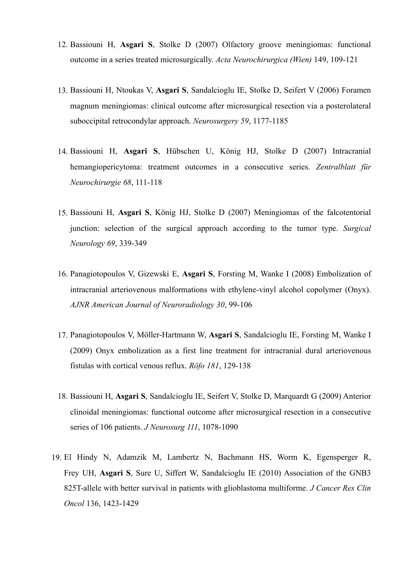- 12. Bassiouni H, **Asgari S**, Stolke D (2007) Olfactory groove meningiomas: functional outcome in a series treated microsurgically. *Acta Neurochirurgica (Wien)* 149, 109-121
- 13. Bassiouni H, Ntoukas V, **Asgari S**, Sandalcioglu IE, Stolke D, Seifert V (2006) Foramen magnum meningiomas: clinical outcome after microsurgical resection via a posterolateral suboccipital retrocondylar approach. *Neurosurgery 59*, 1177-1185
- 14. Bassiouni H, **Asgari S**, Hübschen U, König HJ, Stolke D (2007) Intracranial hemangiopericytoma: treatment outcomes in a consecutive series. *Zentralblatt für Neurochirurgie 68*, 111-118
- 15. Bassiouni H, **Asgari S**, König HJ, Stolke D (2007) Meningiomas of the falcotentorial junction: selection of the surgical approach according to the tumor type. *Surgical Neurology 69*, 339-349
- 16. Panagiotopoulos V, Gizewski E, **Asgari S**, Forsting M, Wanke I (2008) Embolization of intracranial arteriovenous malformations with ethylene-vinyl alcohol copolymer (Onyx). *AJNR American Journal of Neuroradiology 30*, 99-106
- 17. Panagiotopoulos V, Möller-Hartmann W, **Asgari S**, Sandalcioglu IE, Forsting M, Wanke I (2009) Onyx embolization as a first line treatment for intracranial dural arteriovenous fistulas with cortical venous reflux. *Röfo 181*, 129-138
- 18. Bassiouni H, **Asgari S**, Sandalcioglu IE, Seifert V, Stolke D, Marquardt G (2009) Anterior clinoidal meningiomas: functional outcome after microsurgical resection in a consecutive series of 106 patients. *J Neurosurg 111*, 1078-1090
- 19. El Hindy N, Adamzik M, Lambertz N, Bachmann HS, Worm K, Egensperger R, Frey UH, **Asgari S**, Sure U, Siffert W, Sandalcioglu IE (2010) Association of the GNB3 825T-allele with better survival in patients with glioblastoma multiforme. *J Cancer Res Clin Oncol* 136, 1423-1429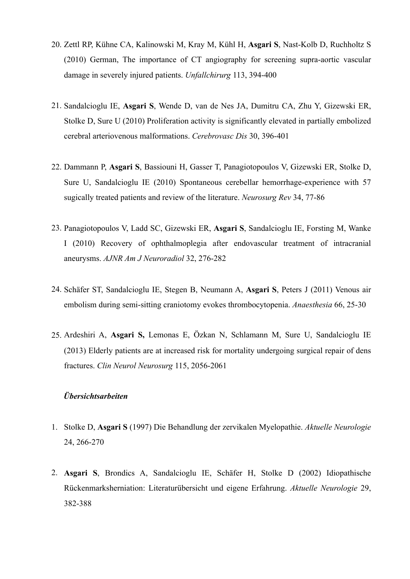- 20. Zettl RP, Kühne CA, Kalinowski M, Kray M, Kühl H, **Asgari S**, Nast-Kolb D, Ruchholtz S (2010) German, The importance of CT angiography for screening supra-aortic vascular damage in severely injured patients. *Unfallchirurg* 113, 394-400
- 21. Sandalcioglu IE, **Asgari S**, Wende D, van de Nes JA, Dumitru CA, Zhu Y, Gizewski ER, Stolke D, Sure U (2010) Proliferation activity is significantly elevated in partially embolized cerebral arteriovenous malformations. *Cerebrovasc Dis* 30, 396-401
- 22. Dammann P, **Asgari S**, Bassiouni H, Gasser T, Panagiotopoulos V, Gizewski ER, Stolke D, Sure U, Sandalcioglu IE (2010) Spontaneous cerebellar hemorrhage-experience with 57 sugically treated patients and review of the literature. *Neurosurg Rev* 34, 77-86
- 23. Panagiotopoulos V, Ladd SC, Gizewski ER, **Asgari S**, Sandalcioglu IE, Forsting M, Wanke I (2010) Recovery of ophthalmoplegia after endovascular treatment of intracranial aneurysms. *AJNR Am J Neuroradiol* 32, 276-282
- 24. Schäfer ST, Sandalcioglu IE, Stegen B, Neumann A, **Asgari S**, Peters J (2011) Venous air embolism during semi-sitting craniotomy evokes thrombocytopenia. *Anaesthesia* 66, 25-30
- 25. Ardeshiri A, **Asgari S,** Lemonas E, Özkan N, Schlamann M, Sure U, Sandalcioglu IE (2013) Elderly patients are at increased risk for mortality undergoing surgical repair of dens fractures. *Clin Neurol Neurosurg* 115, 2056-2061

# *Übersichtsarbeiten*

- 1. Stolke D, **Asgari S** (1997) Die Behandlung der zervikalen Myelopathie. *Aktuelle Neurologie* 24, 266-270
- 2. **Asgari S**, Brondics A, Sandalcioglu IE, Schäfer H, Stolke D (2002) Idiopathische Rückenmarksherniation: Literaturübersicht und eigene Erfahrung. *Aktuelle Neurologie* 29, 382-388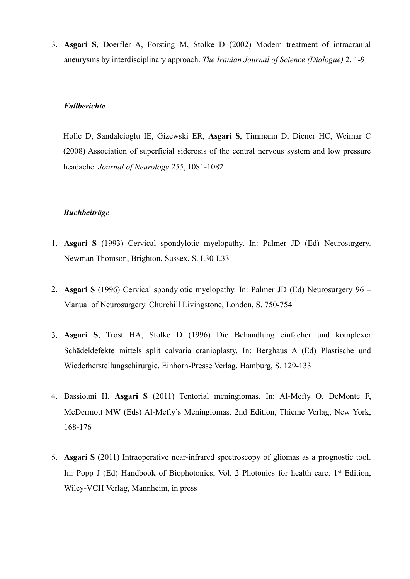3. **Asgari S**, Doerfler A, Forsting M, Stolke D (2002) Modern treatment of intracranial aneurysms by interdisciplinary approach. *The Iranian Journal of Science (Dialogue)* 2, 1-9

#### *Fallberichte*

Holle D, Sandalcioglu IE, Gizewski ER, **Asgari S**, Timmann D, Diener HC, Weimar C (2008) Association of superficial siderosis of the central nervous system and low pressure headache. *Journal of Neurology 255*, 1081-1082

#### *Buchbeiträge*

- 1. **Asgari S** (1993) Cervical spondylotic myelopathy. In: Palmer JD (Ed) Neurosurgery. Newman Thomson, Brighton, Sussex, S. I.30-I.33
- 2. **Asgari S** (1996) Cervical spondylotic myelopathy. In: Palmer JD (Ed) Neurosurgery 96 Manual of Neurosurgery. Churchill Livingstone, London, S. 750-754
- 3. **Asgari S**, Trost HA, Stolke D (1996) Die Behandlung einfacher und komplexer Schädeldefekte mittels split calvaria cranioplasty. In: Berghaus A (Ed) Plastische und Wiederherstellungschirurgie. Einhorn-Presse Verlag, Hamburg, S. 129-133
- 4. Bassiouni H, **Asgari S** (2011) Tentorial meningiomas. In: Al-Mefty O, DeMonte F, McDermott MW (Eds) Al-Mefty's Meningiomas. 2nd Edition, Thieme Verlag, New York, 168-176
- 5. **Asgari S** (2011) Intraoperative near-infrared spectroscopy of gliomas as a prognostic tool. In: Popp J (Ed) Handbook of Biophotonics, Vol. 2 Photonics for health care. 1<sup>st</sup> Edition, Wiley-VCH Verlag, Mannheim, in press